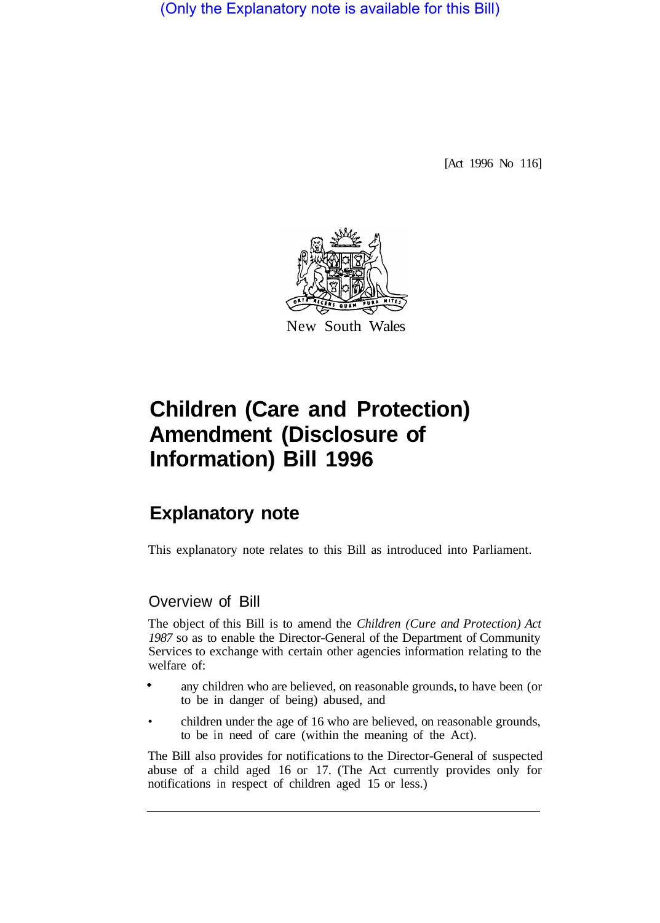(Only the Explanatory note is available for this Bill)

[Act 1996 No 116]



## **Children (Care and Protection) Amendment (Disclosure of Information) Bill 1996**

## **Explanatory note**

This explanatory note relates to this Bill as introduced into Parliament.

## Overview of Bill

The object of this Bill is to amend the *Children (Cure and Protection) Act 1987* so as to enable the Director-General of the Department of Community Services to exchange with certain other agencies information relating to the welfare of:

- any children who are believed, on reasonable grounds, to have been (or to be in danger of being) abused, and
- children under the age of 16 who are believed, on reasonable grounds, to be in need of care (within the meaning of the Act).

The Bill also provides for notifications to the Director-General of suspected abuse of a child aged 16 or 17. (The Act currently provides only for notifications in respect of children aged 15 or less.)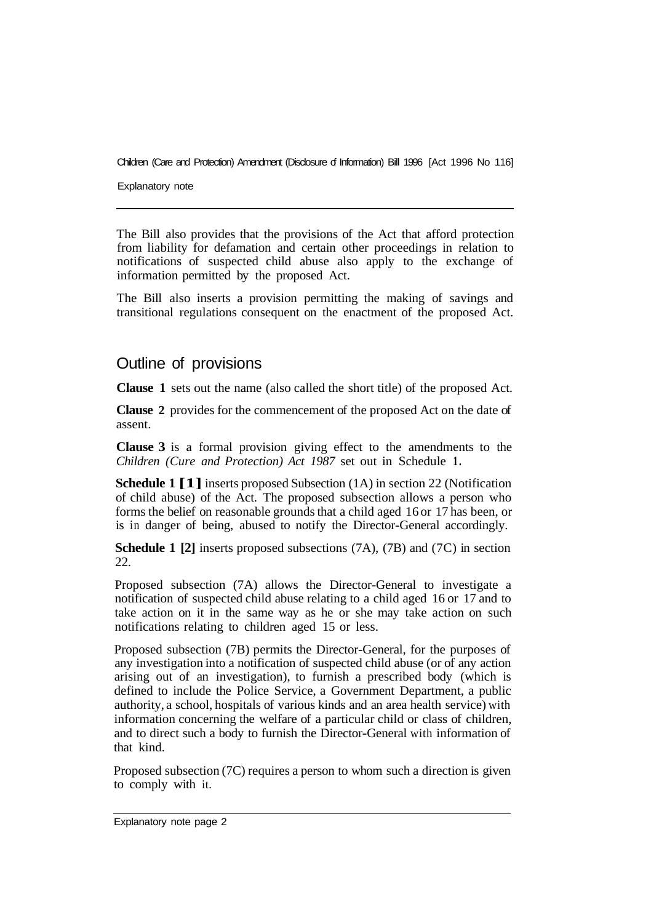Children (Care and Protection) Amendment (Disclosure of Information) Bill 1996 [Act 1996 No 116]

Explanatory note

The Bill also provides that the provisions of the Act that afford protection from liability for defamation and certain other proceedings in relation to notifications of suspected child abuse also apply to the exchange of information permitted by the proposed Act.

The Bill also inserts a provision permitting the making of savings and transitional regulations consequent on the enactment of the proposed Act.

## Outline of provisions

**Clause 1** sets out the name (also called the short title) of the proposed Act.

**Clause 2** provides for the commencement of the proposed Act on the date of assent.

**Clause 3** is a formal provision giving effect to the amendments to the *Children (Cure and Protection) Act 1987* set out in Schedule **1.** 

**Schedule 1 [1]** inserts proposed Subsection (1A) in section 22 (Notification of child abuse) of the Act. The proposed subsection allows a person who forms the belief on reasonable grounds that a child aged 16 or 17 has been, or is in danger of being, abused to notify the Director-General accordingly.

**Schedule 1 [2]** inserts proposed subsections (7A), (7B) and (7C) in section 22.

Proposed subsection (7A) allows the Director-General to investigate a notification of suspected child abuse relating to a child aged 16 or 17 and to take action on it in the same way as he or she may take action on such notifications relating to children aged 15 or less.

Proposed subsection (7B) permits the Director-General, for the purposes of any investigation into a notification of suspected child abuse (or of any action arising out of an investigation), to furnish a prescribed body (which is defined to include the Police Service, a Government Department, a public authority, a school, hospitals of various kinds and an area health service) with information concerning the welfare of a particular child or class of children, and to direct such a body to furnish the Director-General with information of that kind.

Proposed subsection (7C) requires a person to whom such a direction is given to comply with it.

Explanatory note page 2